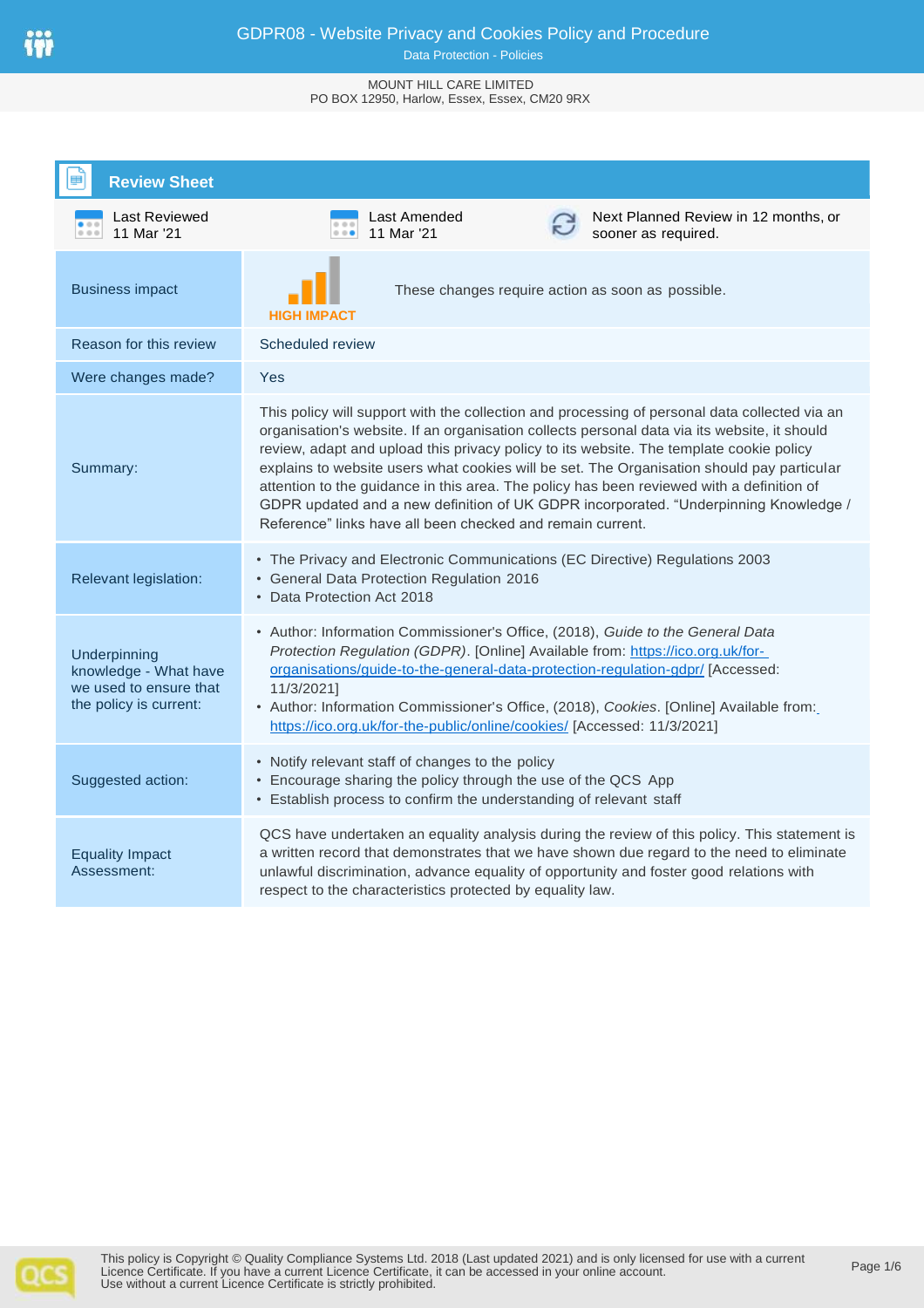#### Data Protection - Policies

#### MOUNT HILL CARE LIMITED PO BOX 12950, Harlow, Essex, Essex, CM20 9RX

| <b>Review Sheet</b>                                                                       |                                                                                                                                                                                                                                                                                                                                                                                                                                                                                                                                                                                                                                           |  |
|-------------------------------------------------------------------------------------------|-------------------------------------------------------------------------------------------------------------------------------------------------------------------------------------------------------------------------------------------------------------------------------------------------------------------------------------------------------------------------------------------------------------------------------------------------------------------------------------------------------------------------------------------------------------------------------------------------------------------------------------------|--|
| Last Reviewed<br>11 Mar '21<br>0.0.0                                                      | Next Planned Review in 12 months, or<br>Last Amended<br>11 Mar '21<br>sooner as required.<br>0.0.0                                                                                                                                                                                                                                                                                                                                                                                                                                                                                                                                        |  |
| <b>Business impact</b>                                                                    | These changes require action as soon as possible.<br><b>HIGH IMPACT</b>                                                                                                                                                                                                                                                                                                                                                                                                                                                                                                                                                                   |  |
| Reason for this review                                                                    | Scheduled review                                                                                                                                                                                                                                                                                                                                                                                                                                                                                                                                                                                                                          |  |
| Were changes made?                                                                        | Yes                                                                                                                                                                                                                                                                                                                                                                                                                                                                                                                                                                                                                                       |  |
| Summary:                                                                                  | This policy will support with the collection and processing of personal data collected via an<br>organisation's website. If an organisation collects personal data via its website, it should<br>review, adapt and upload this privacy policy to its website. The template cookie policy<br>explains to website users what cookies will be set. The Organisation should pay particular<br>attention to the guidance in this area. The policy has been reviewed with a definition of<br>GDPR updated and a new definition of UK GDPR incorporated. "Underpinning Knowledge /<br>Reference" links have all been checked and remain current. |  |
| Relevant legislation:                                                                     | • The Privacy and Electronic Communications (EC Directive) Regulations 2003<br>• General Data Protection Regulation 2016<br>• Data Protection Act 2018                                                                                                                                                                                                                                                                                                                                                                                                                                                                                    |  |
| Underpinning<br>knowledge - What have<br>we used to ensure that<br>the policy is current: | • Author: Information Commissioner's Office, (2018), Guide to the General Data<br>Protection Regulation (GDPR). [Online] Available from: https://ico.org.uk/for-<br>organisations/guide-to-the-general-data-protection-regulation-gdpr/ [Accessed:<br>11/3/2021]<br>• Author: Information Commissioner's Office, (2018), Cookies. [Online] Available from:<br>https://ico.org.uk/for-the-public/online/cookies/ [Accessed: 11/3/2021]                                                                                                                                                                                                     |  |
| Suggested action:                                                                         | • Notify relevant staff of changes to the policy<br>• Encourage sharing the policy through the use of the QCS App<br>• Establish process to confirm the understanding of relevant staff                                                                                                                                                                                                                                                                                                                                                                                                                                                   |  |
| <b>Equality Impact</b><br>Assessment:                                                     | QCS have undertaken an equality analysis during the review of this policy. This statement is<br>a written record that demonstrates that we have shown due regard to the need to eliminate<br>unlawful discrimination, advance equality of opportunity and foster good relations with<br>respect to the characteristics protected by equality law.                                                                                                                                                                                                                                                                                         |  |

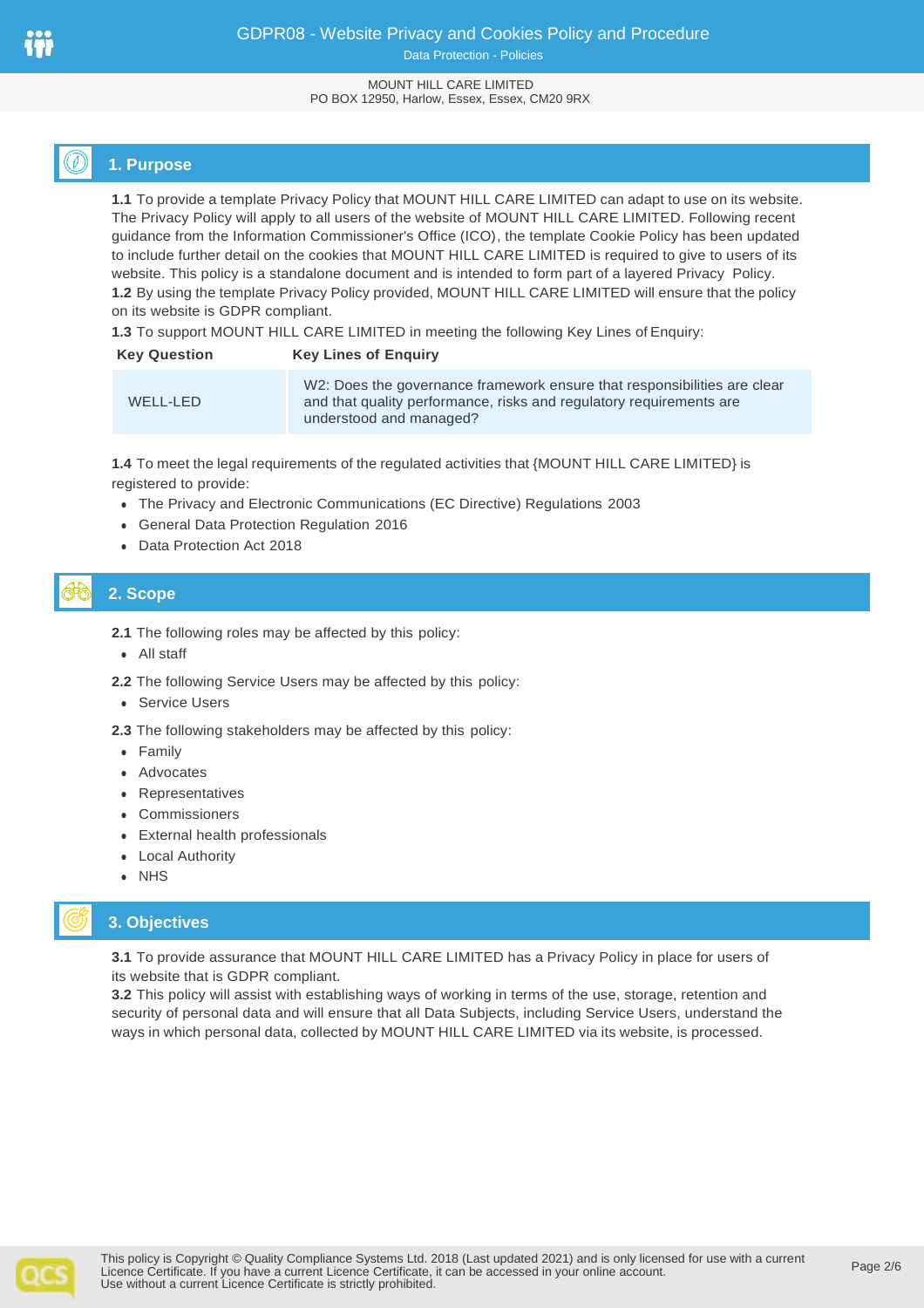## GDPR08 - Website Privacy and Cookies Policy and Procedure Data Protection - Policies

#### MOUNT HILL CARE LIMITED PO BOX 12950, Harlow, Essex, Essex, CM20 9RX

# **1. Purpose**

**1.1** To provide a template Privacy Policy that MOUNT HILL CARE LIMITED can adapt to use on its website. The Privacy Policy will apply to all users of the website of MOUNT HILL CARE LIMITED. Following recent guidance from the Information Commissioner's Office (ICO), the template Cookie Policy has been updated to include further detail on the cookies that MOUNT HILL CARE LIMITED is required to give to users of its website. This policy is a standalone document and is intended to form part of a layered Privacy Policy. **1.2** By using the template Privacy Policy provided, MOUNT HILL CARE LIMITED will ensure that the policy on its website is GDPR compliant.

**1.3** To support MOUNT HILL CARE LIMITED in meeting the following Key Lines of Enquiry:

| <b>Key Question</b> | <b>Key Lines of Enguiry</b>                                                                                                                                                |  |
|---------------------|----------------------------------------------------------------------------------------------------------------------------------------------------------------------------|--|
| WELL-LED            | W2: Does the governance framework ensure that responsibilities are clear<br>and that quality performance, risks and regulatory requirements are<br>understood and managed? |  |

**1.4** To meet the legal requirements of the regulated activities that {MOUNT HILL CARE LIMITED} is registered to provide:

- The Privacy and Electronic Communications (EC Directive) Regulations 2003
- General Data Protection Regulation 2016
- Data Protection Act 2018

# **2. Scope**

- **2.1** The following roles may be affected by this policy:
- All staff
- **2.2** The following Service Users may be affected by this policy:
- Service Users

**2.3** The following stakeholders may be affected by this policy:

- Family
- Advocates
- Representatives
- Commissioners
- External health professionals
- Local Authority
- NHS

## **3. Objectives**

**3.1** To provide assurance that MOUNT HILL CARE LIMITED has a Privacy Policy in place for users of its website that is GDPR compliant.

**3.2** This policy will assist with establishing ways of working in terms of the use, storage, retention and security of personal data and will ensure that all Data Subjects, including Service Users, understand the ways in which personal data, collected by MOUNT HILL CARE LIMITED via its website, is processed.

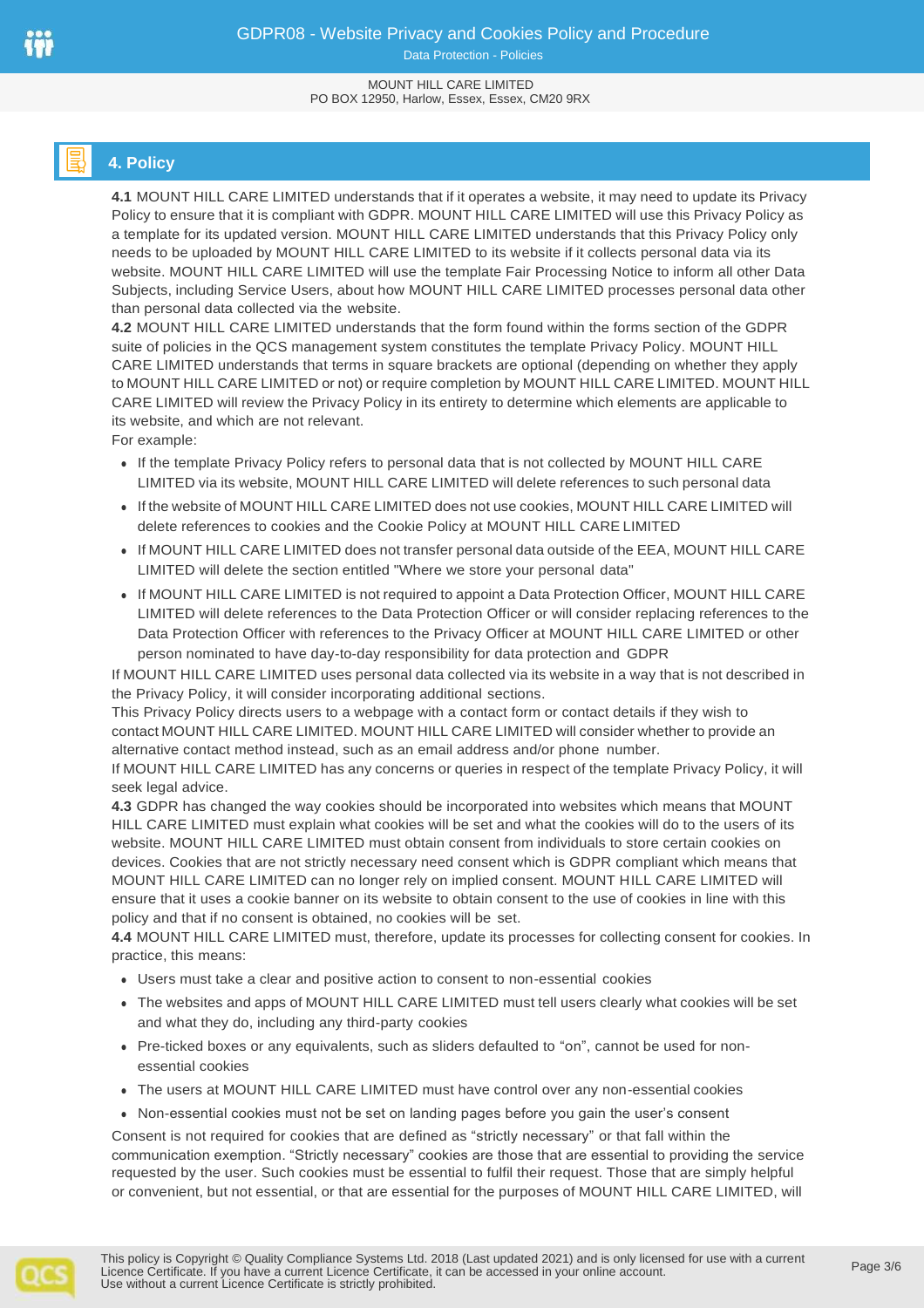# **4. Policy**

**4.1** MOUNT HILL CARE LIMITED understands that if it operates a website, it may need to update its Privacy Policy to ensure that it is compliant with GDPR. MOUNT HILL CARE LIMITED will use this Privacy Policy as a template for its updated version. MOUNT HILL CARE LIMITED understands that this Privacy Policy only needs to be uploaded by MOUNT HILL CARE LIMITED to its website if it collects personal data via its website. MOUNT HILL CARE LIMITED will use the template Fair Processing Notice to inform all other Data Subjects, including Service Users, about how MOUNT HILL CARE LIMITED processes personal data other than personal data collected via the website.

**4.2** MOUNT HILL CARE LIMITED understands that the form found within the forms section of the GDPR suite of policies in the QCS management system constitutes the template Privacy Policy. MOUNT HILL CARE LIMITED understands that terms in square brackets are optional (depending on whether they apply to MOUNT HILL CARE LIMITED or not) or require completion by MOUNT HILL CARE LIMITED. MOUNT HILL CARE LIMITED will review the Privacy Policy in its entirety to determine which elements are applicable to its website, and which are not relevant.

For example:

- If the template Privacy Policy refers to personal data that is not collected by MOUNT HILL CARE LIMITED via its website, MOUNT HILL CARE LIMITED will delete references to such personal data
- If the website of MOUNT HILL CARE LIMITED does not use cookies, MOUNT HILL CARE LIMITED will delete references to cookies and the Cookie Policy at MOUNT HILL CARE LIMITED
- If MOUNT HILL CARE LIMITED does not transfer personal data outside of the EEA, MOUNT HILL CARE LIMITED will delete the section entitled "Where we store your personal data"
- If MOUNT HILL CARE LIMITED is not required to appoint a Data Protection Officer, MOUNT HILL CARE LIMITED will delete references to the Data Protection Officer or will consider replacing references to the Data Protection Officer with references to the Privacy Officer at MOUNT HILL CARE LIMITED or other person nominated to have day-to-day responsibility for data protection and GDPR

If MOUNT HILL CARE LIMITED uses personal data collected via its website in a way that is not described in the Privacy Policy, it will consider incorporating additional sections.

This Privacy Policy directs users to a webpage with a contact form or contact details if they wish to contact MOUNT HILL CARE LIMITED. MOUNT HILL CARE LIMITED will consider whether to provide an alternative contact method instead, such as an email address and/or phone number.

If MOUNT HILL CARE LIMITED has any concerns or queries in respect of the template Privacy Policy, it will seek legal advice.

**4.3** GDPR has changed the way cookies should be incorporated into websites which means that MOUNT HILL CARE LIMITED must explain what cookies will be set and what the cookies will do to the users of its website. MOUNT HILL CARE LIMITED must obtain consent from individuals to store certain cookies on devices. Cookies that are not strictly necessary need consent which is GDPR compliant which means that MOUNT HILL CARE LIMITED can no longer rely on implied consent. MOUNT HILL CARE LIMITED will ensure that it uses a cookie banner on its website to obtain consent to the use of cookies in line with this policy and that if no consent is obtained, no cookies will be set.

**4.4** MOUNT HILL CARE LIMITED must, therefore, update its processes for collecting consent for cookies. In practice, this means:

- Users must take a clear and positive action to consent to non-essential cookies
- The websites and apps of MOUNT HILL CARE LIMITED must tell users clearly what cookies will be set and what they do, including any third-party cookies
- Pre-ticked boxes or any equivalents, such as sliders defaulted to "on", cannot be used for nonessential cookies
- The users at MOUNT HILL CARE LIMITED must have control over any non-essential cookies
- Non-essential cookies must not be set on landing pages before you gain the user's consent

Consent is not required for cookies that are defined as "strictly necessary" or that fall within the communication exemption. "Strictly necessary" cookies are those that are essential to providing the service requested by the user. Such cookies must be essential to fulfil their request. Those that are simply helpful or convenient, but not essential, or that are essential for the purposes of MOUNT HILL CARE LIMITED, will

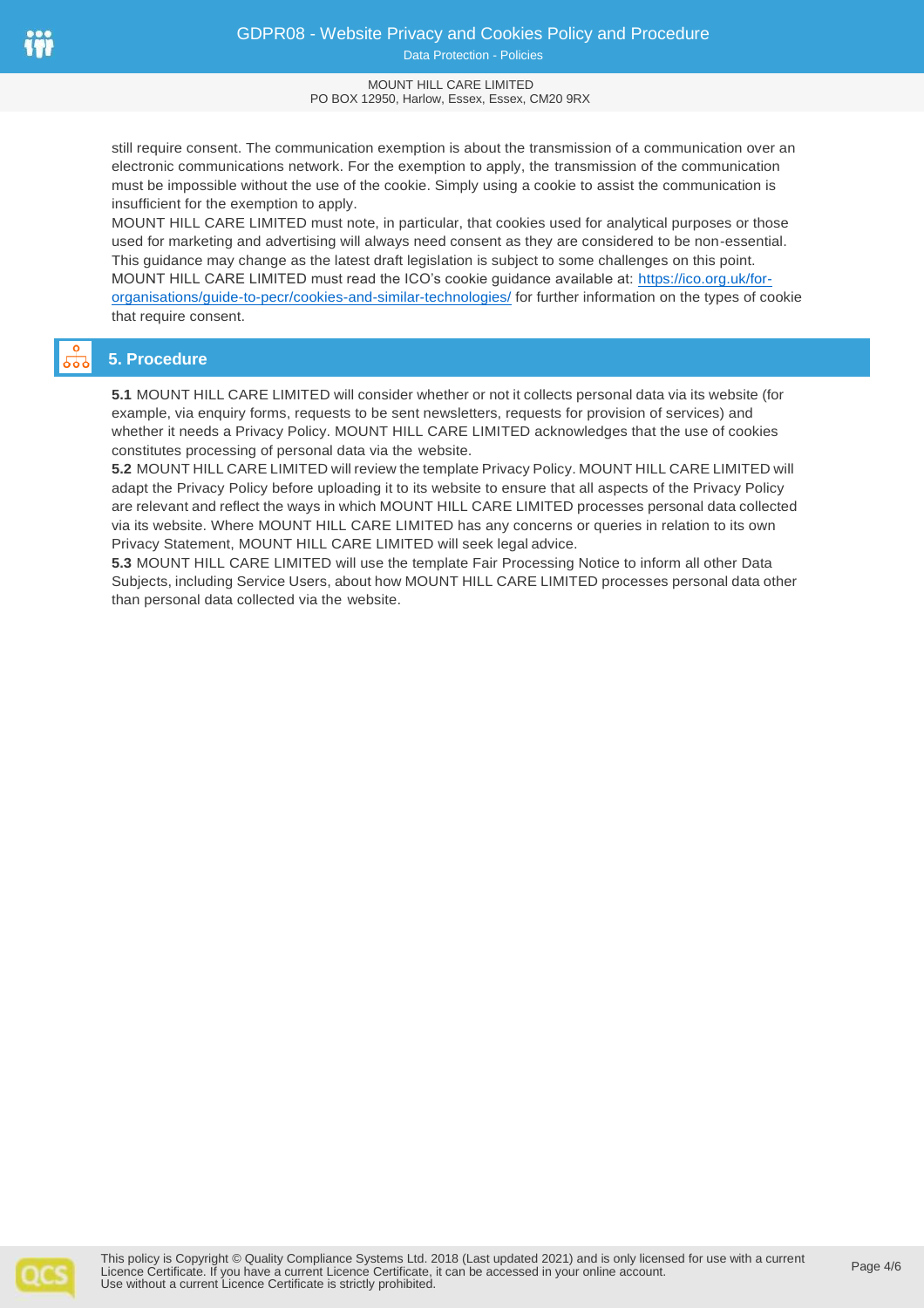Data Protection - Policies

#### MOUNT HILL CARE LIMITED PO BOX 12950, Harlow, Essex, Essex, CM20 9RX

still require consent. The communication exemption is about the transmission of a communication over an electronic communications network. For the exemption to apply, the transmission of the communication must be impossible without the use of the cookie. Simply using a cookie to assist the communication is insufficient for the exemption to apply.

MOUNT HILL CARE LIMITED must note, in particular, that cookies used for analytical purposes or those used for marketing and advertising will always need consent as they are considered to be non-essential. This guidance may change as the latest draft legislation is subject to some challenges on this point. MOUNT HILL CARE LIMITED must read the ICO's cookie guidance available at: [https://ico.org.uk/for](https://ico.org.uk/for-organisations/guide-to-pecr/cookies-and-similar-technologies/)[organisations/guide-to-pecr/cookies-and-similar-technologies/](https://ico.org.uk/for-organisations/guide-to-pecr/cookies-and-similar-technologies/) for further information on the types of cookie that require consent.

# **5. Procedure**

**5.1** MOUNT HILL CARE LIMITED will consider whether or not it collects personal data via its website (for example, via enquiry forms, requests to be sent newsletters, requests for provision of services) and whether it needs a Privacy Policy. MOUNT HILL CARE LIMITED acknowledges that the use of cookies constitutes processing of personal data via the website.

**5.2** MOUNT HILL CARE LIMITED will review the template Privacy Policy. MOUNT HILL CARE LIMITED will adapt the Privacy Policy before uploading it to its website to ensure that all aspects of the Privacy Policy are relevant and reflect the ways in which MOUNT HILL CARE LIMITED processes personal data collected via its website. Where MOUNT HILL CARE LIMITED has any concerns or queries in relation to its own Privacy Statement, MOUNT HILL CARE LIMITED will seek legal advice.

**5.3** MOUNT HILL CARE LIMITED will use the template Fair Processing Notice to inform all other Data Subjects, including Service Users, about how MOUNT HILL CARE LIMITED processes personal data other than personal data collected via the website.

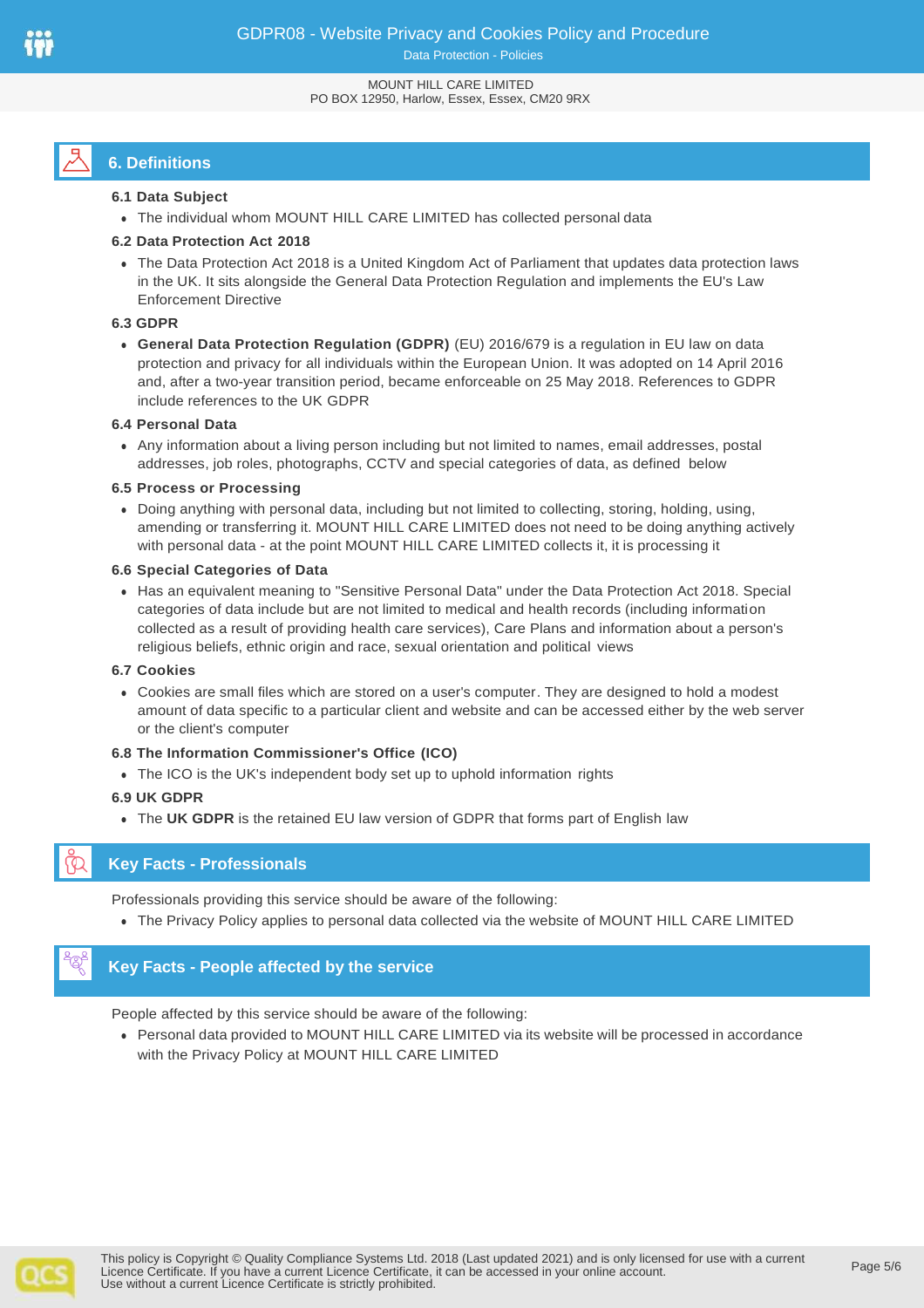# **6. Definitions**

#### **6.1 Data Subject**

The individual whom MOUNT HILL CARE LIMITED has collected personal data

#### **6.2 Data Protection Act 2018**

 The Data Protection Act 2018 is a United Kingdom Act of Parliament that updates data protection laws in the UK. It sits alongside the General Data Protection Regulation and implements the EU's Law Enforcement Directive

#### **6.3 GDPR**

 **General Data Protection Regulation (GDPR)** (EU) 2016/679 is a regulation in EU law on data protection and privacy for all individuals within the European Union. It was adopted on 14 April 2016 and, after a two-year transition period, became enforceable on 25 May 2018. References to GDPR include references to the UK GDPR

#### **6.4 Personal Data**

 Any information about a living person including but not limited to names, email addresses, postal addresses, job roles, photographs, CCTV and special categories of data, as defined below

#### **6.5 Process or Processing**

 Doing anything with personal data, including but not limited to collecting, storing, holding, using, amending or transferring it. MOUNT HILL CARE LIMITED does not need to be doing anything actively with personal data - at the point MOUNT HILL CARE LIMITED collects it, it is processing it

#### **6.6 Special Categories of Data**

 Has an equivalent meaning to "Sensitive Personal Data" under the Data Protection Act 2018. Special categories of data include but are not limited to medical and health records (including information collected as a result of providing health care services), Care Plans and information about a person's religious beliefs, ethnic origin and race, sexual orientation and political views

#### **6.7 Cookies**

 Cookies are small files which are stored on a user's computer. They are designed to hold a modest amount of data specific to a particular client and website and can be accessed either by the web server or the client's computer

#### **6.8 The Information Commissioner's Office (ICO)**

The ICO is the UK's independent body set up to uphold information rights

#### **6.9 UK GDPR**

The **UK GDPR** is the retained EU law version of GDPR that forms part of English law

## **Key Facts - Professionals**

Professionals providing this service should be aware of the following:

The Privacy Policy applies to personal data collected via the website of MOUNT HILL CARE LIMITED

## **Key Facts - People affected by the service**

People affected by this service should be aware of the following:

 Personal data provided to MOUNT HILL CARE LIMITED via its website will be processed in accordance with the Privacy Policy at MOUNT HILL CARE LIMITED

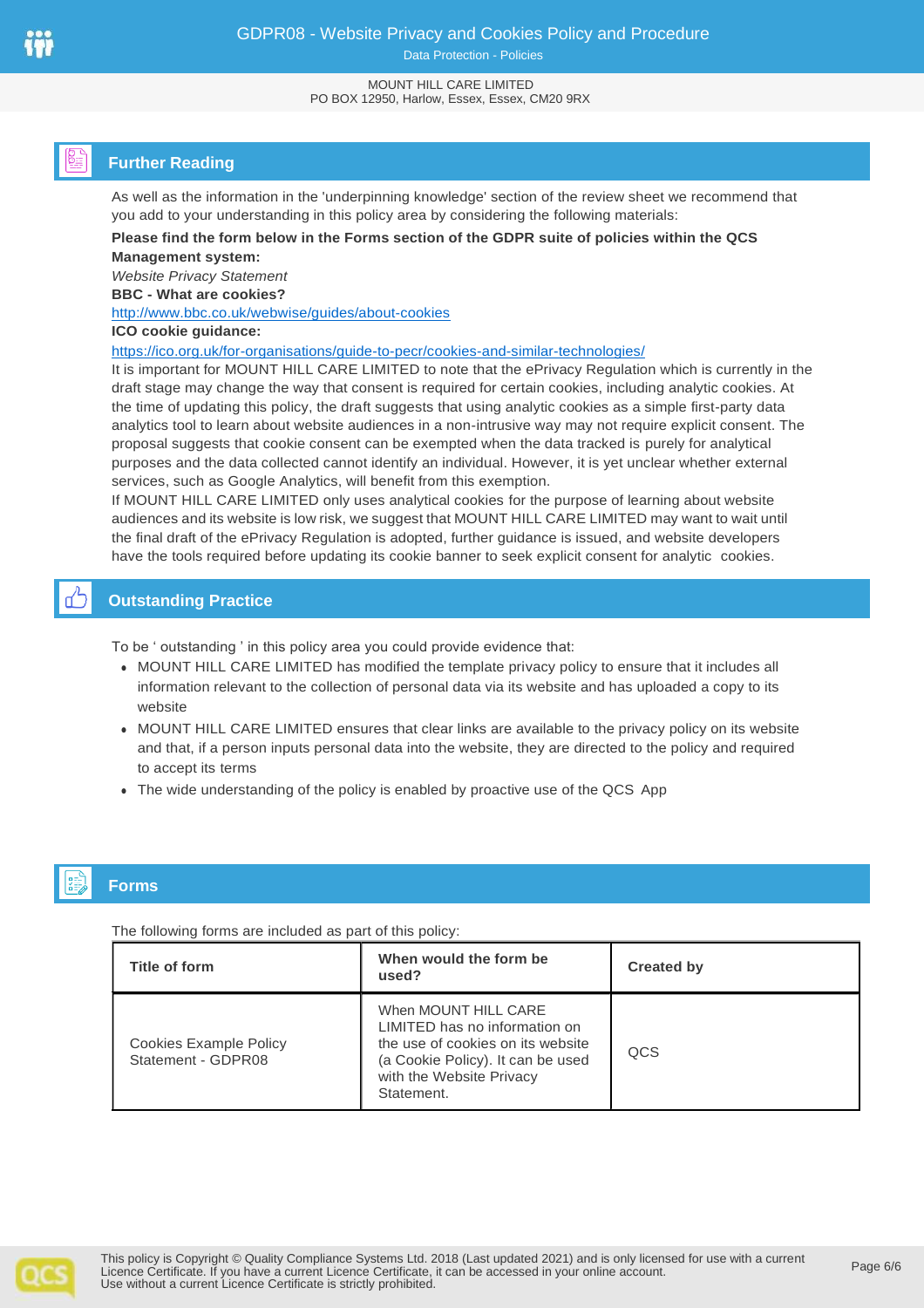Data Protection - Policies

#### MOUNT HILL CARE LIMITED PO BOX 12950, Harlow, Essex, Essex, CM20 9RX

# **Further Reading**

As well as the information in the 'underpinning knowledge' section of the review sheet we recommend that you add to your understanding in this policy area by considering the following materials:

#### **Please find the form below in the Forms section of the GDPR suite of policies within the QCS Management system:**

*Website Privacy Statement*

**BBC - What are cookies?** 

<http://www.bbc.co.uk/webwise/guides/about-cookies>

#### **ICO cookie guidance:**

<https://ico.org.uk/for-organisations/guide-to-pecr/cookies-and-similar-technologies/>

It is important for MOUNT HILL CARE LIMITED to note that the ePrivacy Regulation which is currently in the draft stage may change the way that consent is required for certain cookies, including analytic cookies. At the time of updating this policy, the draft suggests that using analytic cookies as a simple first-party data analytics tool to learn about website audiences in a non-intrusive way may not require explicit consent. The proposal suggests that cookie consent can be exempted when the data tracked is purely for analytical purposes and the data collected cannot identify an individual. However, it is yet unclear whether external services, such as Google Analytics, will benefit from this exemption.

If MOUNT HILL CARE LIMITED only uses analytical cookies for the purpose of learning about website audiences and its website is low risk, we suggest that MOUNT HILL CARE LIMITED may want to wait until the final draft of the ePrivacy Regulation is adopted, further guidance is issued, and website developers have the tools required before updating its cookie banner to seek explicit consent for analytic cookies.

# **Outstanding Practice**

To be ' outstanding ' in this policy area you could provide evidence that:

- MOUNT HILL CARE LIMITED has modified the template privacy policy to ensure that it includes all information relevant to the collection of personal data via its website and has uploaded a copy to its website
- MOUNT HILL CARE LIMITED ensures that clear links are available to the privacy policy on its website and that, if a person inputs personal data into the website, they are directed to the policy and required to accept its terms
- The wide understanding of the policy is enabled by proactive use of the QCS App

# **Forms**

The following forms are included as part of this policy:

| Title of form                                | When would the form be<br>used?                                                                                                                                           | <b>Created by</b> |
|----------------------------------------------|---------------------------------------------------------------------------------------------------------------------------------------------------------------------------|-------------------|
| Cookies Example Policy<br>Statement - GDPR08 | When MOUNT HILL CARE<br>LIMITED has no information on<br>the use of cookies on its website<br>(a Cookie Policy). It can be used<br>with the Website Privacy<br>Statement. | QCS               |

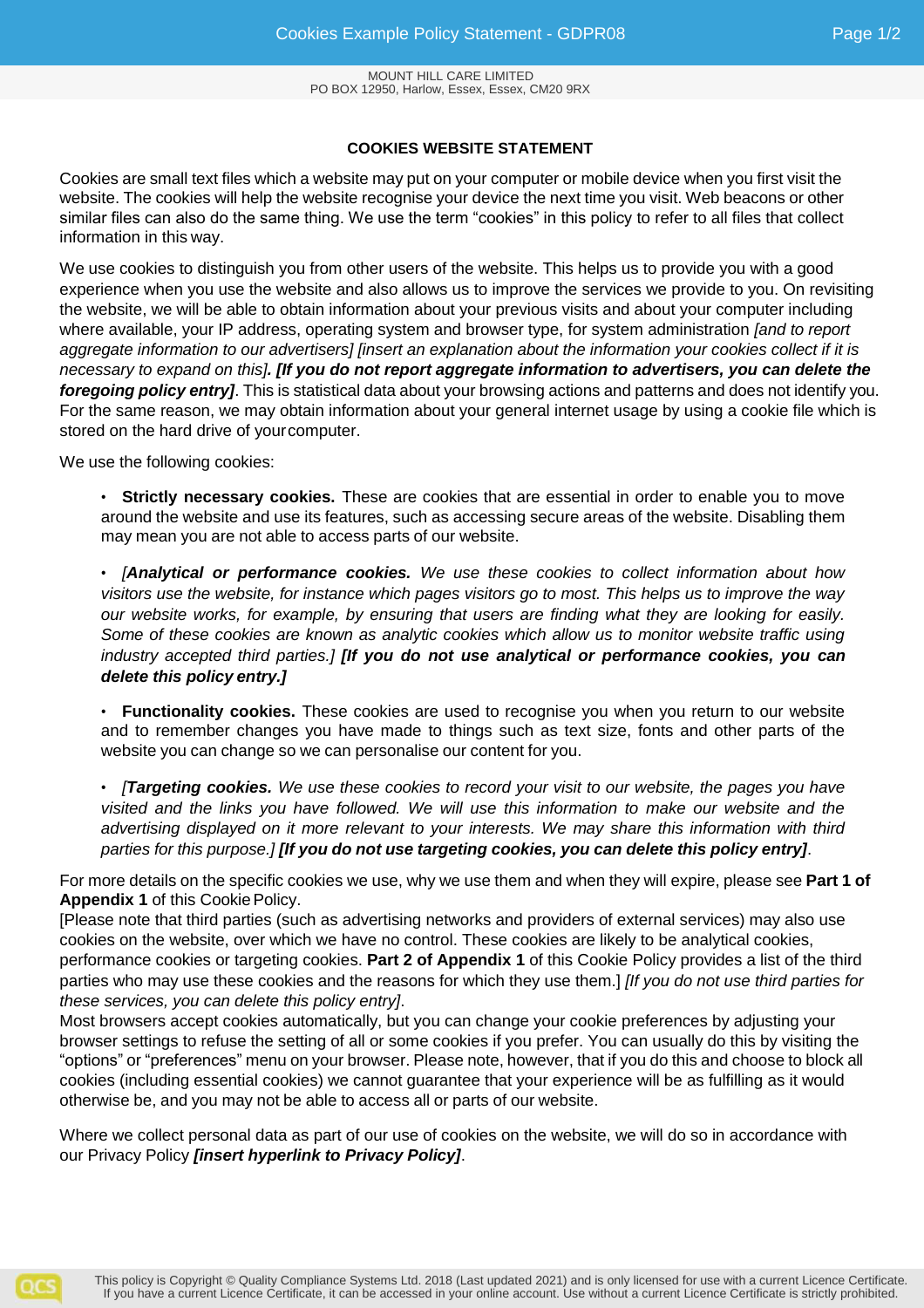## **COOKIES WEBSITE STATEMENT**

Cookies are small text files which a website may put on your computer or mobile device when you first visit the website. The cookies will help the website recognise your device the next time you visit. Web beacons or other similar files can also do the same thing. We use the term "cookies" in this policy to refer to all files that collect information in this way.

We use cookies to distinguish you from other users of the website. This helps us to provide you with a good experience when you use the website and also allows us to improve the services we provide to you. On revisiting the website, we will be able to obtain information about your previous visits and about your computer including where available, your IP address, operating system and browser type, for system administration *[and to report aggregate information to our advertisers] [insert an explanation about the information your cookies collect if it is necessary to expand on this]. [If you do not report aggregate information to advertisers, you can delete the foregoing policy entry]*. This is statistical data about your browsing actions and patterns and does not identify you. For the same reason, we may obtain information about your general internet usage by using a cookie file which is stored on the hard drive of yourcomputer.

We use the following cookies:

• **Strictly necessary cookies.** These are cookies that are essential in order to enable you to move around the website and use its features, such as accessing secure areas of the website. Disabling them may mean you are not able to access parts of our website.

• *[Analytical or performance cookies. We use these cookies to collect information about how visitors use the website, for instance which pages visitors go to most. This helps us to improve the way our website works, for example, by ensuring that users are finding what they are looking for easily. Some of these cookies are known as analytic cookies which allow us to monitor website traffic using industry accepted third parties.] [If you do not use analytical or performance cookies, you can delete this policy entry.]*

• **Functionality cookies.** These cookies are used to recognise you when you return to our website and to remember changes you have made to things such as text size, fonts and other parts of the website you can change so we can personalise our content for you.

• *[Targeting cookies. We use these cookies to record your visit to our website, the pages you have visited and the links you have followed. We will use this information to make our website and the advertising displayed on it more relevant to your interests. We may share this information with third parties for this purpose.] [If you do not use targeting cookies, you can delete this policy entry]*.

For more details on the specific cookies we use, why we use them and when they will expire, please see **Part 1 of Appendix 1 of this Cookie Policy.** 

[Please note that third parties (such as advertising networks and providers of external services) may also use cookies on the website, over which we have no control. These cookies are likely to be analytical cookies, performance cookies or targeting cookies. **Part 2 of Appendix 1** of this Cookie Policy provides a list of the third parties who may use these cookies and the reasons for which they use them.] *[If you do not use third parties for these services, you can delete this policy entry]*.

Most browsers accept cookies automatically, but you can change your cookie preferences by adjusting your browser settings to refuse the setting of all or some cookies if you prefer. You can usually do this by visiting the "options" or "preferences" menu on your browser. Please note, however, that if you do this and choose to block all cookies (including essential cookies) we cannot guarantee that your experience will be as fulfilling as it would otherwise be, and you may not be able to access all or parts of our website.

Where we collect personal data as part of our use of cookies on the website, we will do so in accordance with our Privacy Policy *[insert hyperlink to Privacy Policy]*.